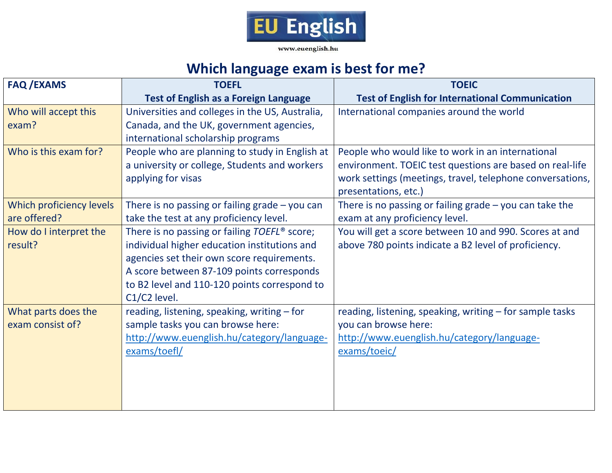

## **Which language exam is best for me?**

| <b>FAQ/EXAMS</b>         | <b>TOEFL</b>                                             | <b>TOEIC</b>                                                                      |  |  |  |  |
|--------------------------|----------------------------------------------------------|-----------------------------------------------------------------------------------|--|--|--|--|
|                          | <b>Test of English as a Foreign Language</b>             | <b>Test of English for International Communication</b>                            |  |  |  |  |
| Who will accept this     | Universities and colleges in the US, Australia,          | International companies around the world                                          |  |  |  |  |
| exam?                    | Canada, and the UK, government agencies,                 |                                                                                   |  |  |  |  |
|                          | international scholarship programs                       |                                                                                   |  |  |  |  |
| Who is this exam for?    | People who are planning to study in English at           | People who would like to work in an international                                 |  |  |  |  |
|                          | a university or college, Students and workers            | environment. TOEIC test questions are based on real-life                          |  |  |  |  |
|                          | applying for visas                                       | work settings (meetings, travel, telephone conversations,<br>presentations, etc.) |  |  |  |  |
| Which proficiency levels | There is no passing or failing grade $-$ you can         | There is no passing or failing grade $-$ you can take the                         |  |  |  |  |
| are offered?             | take the test at any proficiency level.                  | exam at any proficiency level.                                                    |  |  |  |  |
| How do I interpret the   | There is no passing or failing TOEFL <sup>®</sup> score; | You will get a score between 10 and 990. Scores at and                            |  |  |  |  |
| result?                  | individual higher education institutions and             | above 780 points indicate a B2 level of proficiency.                              |  |  |  |  |
|                          | agencies set their own score requirements.               |                                                                                   |  |  |  |  |
|                          | A score between 87-109 points corresponds                |                                                                                   |  |  |  |  |
|                          | to B2 level and 110-120 points correspond to             |                                                                                   |  |  |  |  |
|                          | C1/C2 level.                                             |                                                                                   |  |  |  |  |
| What parts does the      | reading, listening, speaking, writing - for              | reading, listening, speaking, writing - for sample tasks                          |  |  |  |  |
| exam consist of?         | sample tasks you can browse here:                        | you can browse here:                                                              |  |  |  |  |
|                          | http://www.euenglish.hu/category/language-               | http://www.euenglish.hu/category/language-                                        |  |  |  |  |
|                          | exams/toefl/                                             | exams/toeic/                                                                      |  |  |  |  |
|                          |                                                          |                                                                                   |  |  |  |  |
|                          |                                                          |                                                                                   |  |  |  |  |
|                          |                                                          |                                                                                   |  |  |  |  |
|                          |                                                          |                                                                                   |  |  |  |  |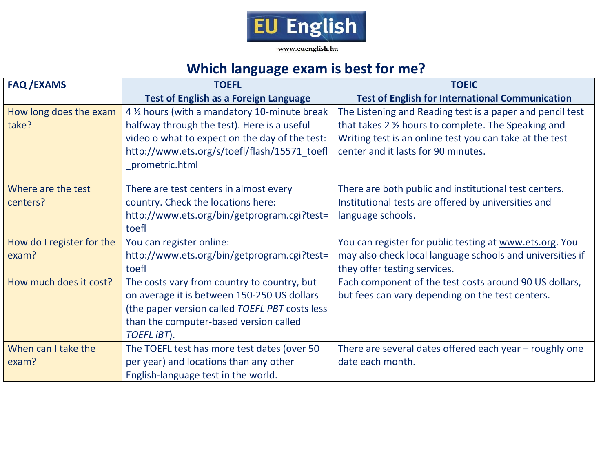

www.euenglish.hu

## **Which language exam is best for me?**

| <b>FAQ /EXAMS</b>         | <b>TOEFL</b>                                   | <b>TOEIC</b>                                              |  |
|---------------------------|------------------------------------------------|-----------------------------------------------------------|--|
|                           | <b>Test of English as a Foreign Language</b>   | <b>Test of English for International Communication</b>    |  |
| How long does the exam    | 4 1/2 hours (with a mandatory 10-minute break  | The Listening and Reading test is a paper and pencil test |  |
| take?                     | halfway through the test). Here is a useful    | that takes 2 % hours to complete. The Speaking and        |  |
|                           | video o what to expect on the day of the test: | Writing test is an online test you can take at the test   |  |
|                           | http://www.ets.org/s/toefl/flash/15571_toefl   | center and it lasts for 90 minutes.                       |  |
|                           | prometric.html                                 |                                                           |  |
| Where are the test        | There are test centers in almost every         | There are both public and institutional test centers.     |  |
| centers?                  | country. Check the locations here:             | Institutional tests are offered by universities and       |  |
|                           | http://www.ets.org/bin/getprogram.cgi?test=    | language schools.                                         |  |
|                           | toefl                                          |                                                           |  |
| How do I register for the | You can register online:                       | You can register for public testing at www.ets.org. You   |  |
| exam?                     | http://www.ets.org/bin/getprogram.cgi?test=    | may also check local language schools and universities if |  |
|                           | toefl                                          | they offer testing services.                              |  |
| How much does it cost?    | The costs vary from country to country, but    | Each component of the test costs around 90 US dollars,    |  |
|                           | on average it is between 150-250 US dollars    | but fees can vary depending on the test centers.          |  |
|                           | (the paper version called TOEFL PBT costs less |                                                           |  |
|                           | than the computer-based version called         |                                                           |  |
|                           | TOEFL IBT).                                    |                                                           |  |
| When can I take the       | The TOEFL test has more test dates (over 50    | There are several dates offered each year - roughly one   |  |
| exam?                     | per year) and locations than any other         | date each month.                                          |  |
|                           | English-language test in the world.            |                                                           |  |